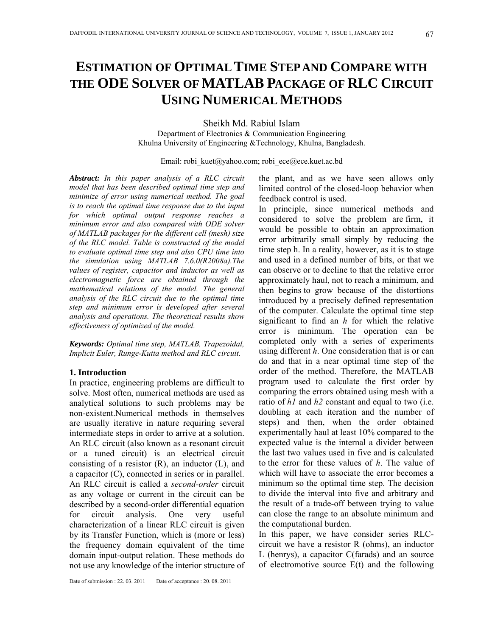# **ESTIMATION OF OPTIMAL TIME STEP AND COMPARE WITH THE ODE SOLVER OF MATLAB PACKAGE OF RLC CIRCUIT USING NUMERICAL METHODS**

Sheikh Md. Rabiul Islam Department of Electronics & Communication Engineering Khulna University of Engineering &Technology, Khulna, Bangladesh.

Email: robi\_kuet@yahoo.com; robi\_ece@ece.kuet.ac.bd

*Abstract: In this paper analysis of a RLC circuit model that has been described optimal time step and minimize of error using numerical method. The goal is to reach the optimal time response due to the input for which optimal output response reaches a minimum error and also compared with ODE solver of MATLAB packages for the different cell (mesh) size of the RLC model. Table is constructed of the model to evaluate optimal time step and also CPU time into the simulation using MATLAB 7.6.0(R2008a).The values of register, capacitor and inductor as well as electromagnetic force are obtained through the mathematical relations of the model. The general analysis of the RLC circuit due to the optimal time step and minimum error is developed after several analysis and operations. The theoretical results show effectiveness of optimized of the model.*

*Keywords: Optimal time step, MATLAB, Trapezoidal, Implicit Euler, Runge-Kutta method and RLC circuit.* 

## **1. Introduction**

In practice, engineering problems are difficult to solve. Most often, numerical methods are used as analytical solutions to such problems may be non-existent.Numerical methods in themselves are usually iterative in nature requiring several intermediate steps in order to arrive at a solution. An RLC circuit (also known as a resonant circuit or a tuned circuit) is an electrical circuit consisting of a resistor  $(R)$ , an inductor  $(L)$ , and a capacitor (C), connected in series or in parallel. An RLC circuit is called a *second-order* circuit as any voltage or current in the circuit can be described by a second-order differential equation for circuit analysis. One very useful characterization of a linear RLC circuit is given by its Transfer Function, which is (more or less) the frequency domain equivalent of the time domain input-output relation. These methods do not use any knowledge of the interior structure of

the plant, and as we have seen allows only limited control of the closed-loop behavior when feedback control is used.

In principle, since numerical methods and considered to solve the problem are firm, it would be possible to obtain an approximation error arbitrarily small simply by reducing the time step h. In a reality, however, as it is to stage and used in a defined number of bits, or that we can observe or to decline to that the relative error approximately haul, not to reach a minimum, and then begins to grow because of the distortions introduced by a precisely defined representation of the computer. Calculate the optimal time step significant to find an *h* for which the relative error is minimum. The operation can be completed only with a series of experiments using different *h*. One consideration that is or can do and that in a near optimal time step of the order of the method. Therefore, the MATLAB program used to calculate the first order by comparing the errors obtained using mesh with a ratio of *h1* and *h2* constant and equal to two (i.e. doubling at each iteration and the number of steps) and then, when the order obtained experimentally haul at least 10% compared to the expected value is the internal a divider between the last two values used in five and is calculated to the error for these values of *h*. The value of which will have to associate the error becomes a minimum so the optimal time step. The decision to divide the interval into five and arbitrary and the result of a trade-off between trying to value can close the range to an absolute minimum and the computational burden.

In this paper, we have consider series RLCcircuit we have a resistor R (ohms), an inductor L (henrys), a capacitor C(farads) and an source of electromotive source E(t) and the following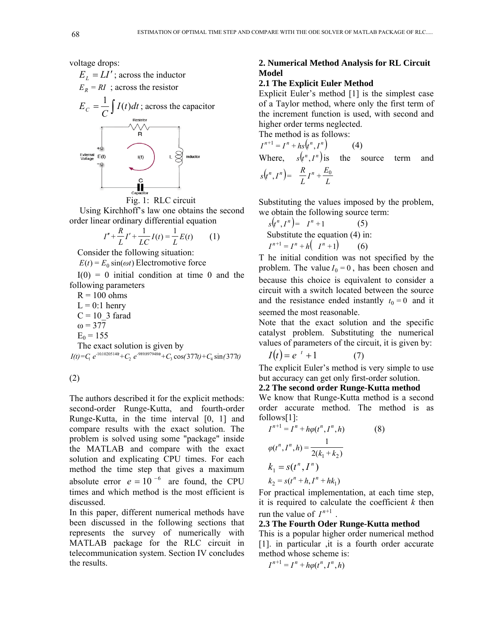voltage drops:





 Using Kirchhoff's law one obtains the second order linear ordinary differential equation

$$
I'' + \frac{R}{L}I' + \frac{1}{LC}I(t) = \frac{1}{L}E(t) \qquad (1)
$$

Consider the following situation:

 $E(t) = E_0 \sin(\omega t)$  Electromotive force

 $I(0) = 0$  initial condition at time 0 and the following parameters

 $R = 100$  ohms  $L = 0:1$  henry  $C = 10$  3 farad  $\omega = 377$  $E_0 = 155$ 

The exact solution is given by  $I(t) = C_1 e^{-10.10205140} + C_2 e^{-989.8979486} + C_3 \cos(377t) + C_4 \sin(377t)$ 

(2)

The authors described it for the explicit methods: second-order Runge-Kutta, and fourth-order Runge-Kutta, in the time interval [0, 1] and compare results with the exact solution. The problem is solved using some "package" inside the MATLAB and compare with the exact solution and explicating CPU times. For each method the time step that gives a maximum absolute error  $e = 10^{-6}$  are found, the CPU times and which method is the most efficient is discussed.

In this paper, different numerical methods have been discussed in the following sections that represents the survey of numerically with MATLAB package for the RLC circuit in telecommunication system. Section IV concludes the results.

## **2. Numerical Method Analysis for RL Circuit Model**

## **2.1 The Explicit Euler Method**

Explicit Euler's method [1] is the simplest case of a Taylor method, where only the first term of the increment function is used, with second and higher order terms neglected.

The method is as follows:

 $I^{n+1} = I^n + hS(t^n, I^n)$  (4) Where,  $s(t^n, I^n)$  is the source term and

$$
s(t^n, I^n) = \frac{R}{L}I^n + \frac{E_0}{L}
$$

Substituting the values imposed by the problem, we obtain the following source term:

$$
s(t^n, I^n) = I^n + 1
$$
 (5)  
Substitute the equation (4) in:  

$$
I^{n+1} = I^n + h(I^n + 1)
$$
 (6)

T he initial condition was not specified by the problem. The value  $I_0 = 0$ , has been chosen and because this choice is equivalent to consider a circuit with a switch located between the source and the resistance ended instantly  $t_0 = 0$  and it seemed the most reasonable.

Note that the exact solution and the specific catalyst problem. Substituting the numerical values of parameters of the circuit, it is given by:

$$
I(t) = e^{-t} + 1 \tag{7}
$$

The explicit Euler's method is very simple to use but accuracy can get only first-order solution.

#### **2.2 The second order Runge-Kutta method**

We know that Runge-Kutta method is a second order accurate method. The method is as follows[1]:

$$
I^{n+1} = I^n + h\varphi(t^n, I^n, h)
$$
(8)  

$$
\varphi(t^n, I^n, h) = \frac{1}{2(k_1 + k_2)}
$$
  

$$
k_1 = s(t^n, I^n)
$$
  

$$
k_2 = s(t^n + h, I^n + hk_1)
$$

For practical implementation, at each time step, it is required to calculate the coefficient *k* then run the value of  $I^{n+1}$ .

## **2.3 The Fourth Oder Runge-Kutta method**

This is a popular higher order numerical method [1]. in particular ,it is a fourth order accurate method whose scheme is:

$$
I^{n+1} = I^n + h\varphi(t^n, I^n, h)
$$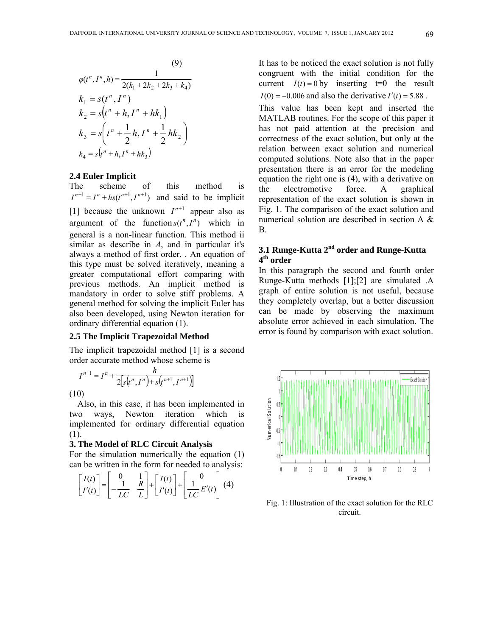(9)  
\n
$$
\varphi(t^n, I^n, h) = \frac{1}{2(k_1 + 2k_2 + 2k_3 + k_4)}
$$
\n
$$
k_1 = s(t^n, I^n)
$$
\n
$$
k_2 = s(t^n + h, I^n + hk_1)
$$
\n
$$
k_3 = s\left(t^n + \frac{1}{2}h, I^n + \frac{1}{2}hk_2\right)
$$
\n
$$
k_4 = s(t^n + h, I^n + hk_3)
$$

## **2.4 Euler Implicit**

The scheme of this method is  $I^{n+1} = I^n + h(t^{n+1}, I^{n+1})$  and said to be implicit [1] because the unknown  $I^{n+1}$  appear also as argument of the function  $s(t^n, I^n)$  which in general is a non-linear function. This method ii similar as describe in *A*, and in particular it's always a method of first order. . An equation of this type must be solved iteratively, meaning a greater computational effort comparing with previous methods. An implicit method is mandatory in order to solve stiff problems. A general method for solving the implicit Euler has also been developed, using Newton iteration for ordinary differential equation (1).

## **2.5 The Implicit Trapezoidal Method**

The implicit trapezoidal method [1] is a second order accurate method whose scheme is

$$
I^{n+1} = I^n + \frac{h}{2[s(t^n, I^n) + s(t^{n+1}, I^{n+1})]}
$$

(10)

Also, in this case, it has been implemented in two ways, Newton iteration which is implemented for ordinary differential equation (1).

#### **3. The Model of RLC Circuit Analysis**

For the simulation numerically the equation (1) can be written in the form for needed to analysis:

$$
\begin{bmatrix} I(t) \\ I'(t) \end{bmatrix} = \begin{bmatrix} 0 & 1 \\ -\frac{1}{LC} & \frac{R}{L} \end{bmatrix} + \begin{bmatrix} I(t) \\ I'(t) \end{bmatrix} + \begin{bmatrix} 0 \\ \frac{1}{LC} E'(t) \end{bmatrix} (4)
$$

It has to be noticed the exact solution is not fully congruent with the initial condition for the current  $I(t) = 0$  by inserting  $t=0$  the result  $I(0) = -0.006$  and also the derivative  $I'(t) = 5.88$ .

This value has been kept and inserted the MATLAB routines. For the scope of this paper it has not paid attention at the precision and correctness of the exact solution, but only at the relation between exact solution and numerical computed solutions. Note also that in the paper presentation there is an error for the modeling equation the right one is (4), with a derivative on the electromotive force. A graphical representation of the exact solution is shown in Fig. 1. The comparison of the exact solution and numerical solution are described in section A & B.

# **3.1 Runge-Kutta 2nd order and Runge-Kutta 4th order**

In this paragraph the second and fourth order Runge-Kutta methods [1];[2] are simulated .A graph of entire solution is not useful, because they completely overlap, but a better discussion can be made by observing the maximum absolute error achieved in each simulation. The error is found by comparison with exact solution.



Fig. 1: Illustration of the exact solution for the RLC circuit.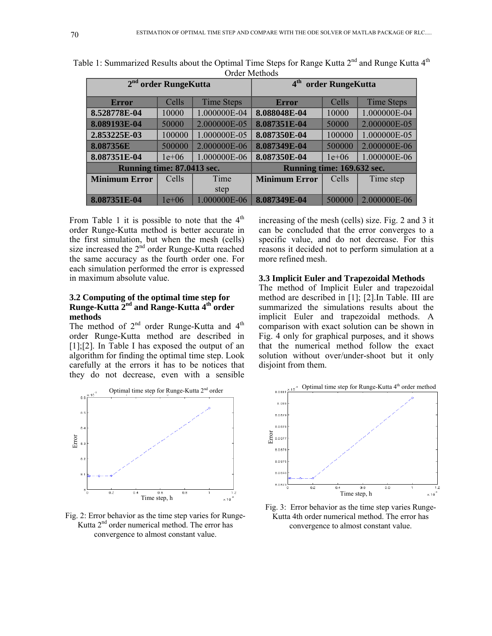| OTUCL IVICHIOUS            |         |                   |                                     |         |                   |
|----------------------------|---------|-------------------|-------------------------------------|---------|-------------------|
| $2nd$ order RungeKutta     |         |                   | 4 <sup>th</sup><br>order RungeKutta |         |                   |
| <b>Error</b>               | Cells   | <b>Time Steps</b> | <b>Error</b>                        | Cells   | <b>Time Steps</b> |
| 8.528778E-04               | 10000   | 1.000000E-04      | 8.088048E-04                        | 10000   | 1.000000E-04      |
| 8.089193E-04               | 50000   | 2.000000E-05      | 8.087351E-04                        | 50000   | 2.000000E-05      |
| 2.853225E-03               | 100000  | 1.000000E-05      | 8.087350E-04                        | 100000  | 1.000000E-05      |
| 8.087356E                  | 500000  | 2.000000E-06      | 8.087349E-04                        | 500000  | 2.000000E-06      |
| 8.087351E-04               | $1e+06$ | 1.000000E-06      | 8.087350E-04                        | $1e+06$ | 1.000000E-06      |
| Running time: 87.0413 sec. |         |                   | Running time: 169.632 sec.          |         |                   |
| <b>Minimum Error</b>       | Cells   | Time              | <b>Minimum Error</b>                | Cells   | Time step         |
|                            |         | step              |                                     |         |                   |
| 8.087351E-04               | $1e+06$ | 1.000000E-06      | 8.087349E-04                        | 500000  | 2.000000E-06      |

Table 1: Summarized Results about the Optimal Time Steps for Range Kutta  $2^{nd}$  and Runge Kutta  $4^{th}$ Order Methods

From Table 1 it is possible to note that the  $4<sup>th</sup>$ order Runge-Kutta method is better accurate in the first simulation, but when the mesh (cells) size increased the 2<sup>nd</sup> order Runge-Kutta reached the same accuracy as the fourth order one. For each simulation performed the error is expressed in maximum absolute value.

## **3.2 Computing of the optimal time step for Runge-Kutta 2nd and Range-Kutta 4th order methods**

The method of 2<sup>nd</sup> order Runge-Kutta and 4<sup>th</sup> order Runge-Kutta method are described in [1];[2]. In Table I has exposed the output of an algorithm for finding the optimal time step. Look carefully at the errors it has to be notices that they do not decrease, even with a sensible



Fig. 2: Error behavior as the time step varies for Runge-Kutta 2<sup>nd</sup> order numerical method. The error has convergence to almost constant value.

increasing of the mesh (cells) size. Fig. 2 and 3 it can be concluded that the error converges to a specific value, and do not decrease. For this reasons it decided not to perform simulation at a more refined mesh.

## **3.3 Implicit Euler and Trapezoidal Methods**

The method of Implicit Euler and trapezoidal method are described in [1]; [2].In Table. III are summarized the simulations results about the implicit Euler and trapezoidal methods. A comparison with exact solution can be shown in Fig. 4 only for graphical purposes, and it shows that the numerical method follow the exact solution without over/under-shoot but it only disjoint from them.



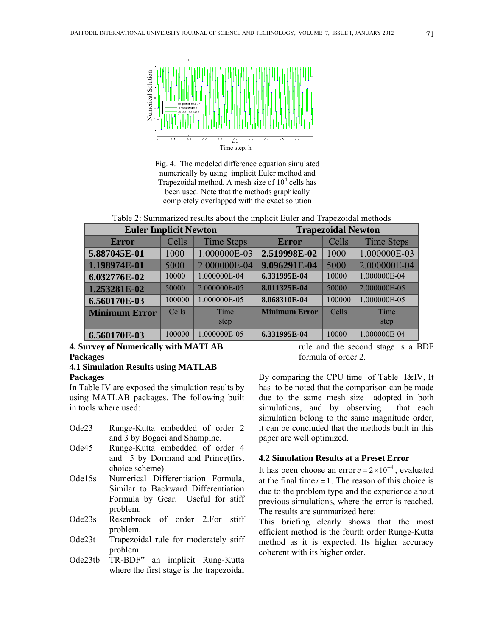

. completely overlapped with the exact solution Fig. 4. The modeled difference equation simulated numerically by using implicit Euler method and Trapezoidal method. A mesh size of  $10<sup>4</sup>$  cells has been used. Note that the methods graphically

Table 2: Summarized results about the implicit Euler and Trapezoidal methods

| <b>Euler Implicit Newton</b> |        |                   | <b>Trapezoidal Newton</b> |        |                   |  |
|------------------------------|--------|-------------------|---------------------------|--------|-------------------|--|
| <b>Error</b>                 | Cells  | <b>Time Steps</b> | <b>Error</b>              | Cells  | <b>Time Steps</b> |  |
| 5.887045E-01                 | 1000   | 1.000000E-03      | 2.519998E-02              | 1000   | 1.000000E-03      |  |
| 1.198974E-01                 | 5000   | 2.000000E-04      | 9.096291E-04              | 5000   | 2.000000E-04      |  |
| 6.032776E-02                 | 10000  | 1.000000E-04      | 6.331995E-04              | 10000  | 1.000000E-04      |  |
| 1.253281E-02                 | 50000  | 2.000000E-05      | 8.011325E-04              | 50000  | 2.000000E-05      |  |
| 6.560170E-03                 | 100000 | 1.000000E-05      | 8.068310E-04              | 100000 | 1.000000E-05      |  |
| <b>Minimum Error</b>         | Cells  | Time              | <b>Minimum Error</b>      | Cells  | Time              |  |
|                              |        | step              |                           |        | step              |  |
| 6.560170E-03                 | 100000 | 1.000000E-05      | 6.331995E-04              | 10000  | 1.000000E-04      |  |

# **4. Survey of Numerically with MATLAB Packages 4.1 Simulation Results using MATLAB**

## **Packages**

In Table IV are exposed the simulation results by using MATLAB packages. The following built in tools where used:

- Ode23 Runge-Kutta embedded of order 2 and 3 by Bogaci and Shampine.
- Ode45 Runge-Kutta embedded of order 4 and 5 by Dormand and Prince(first choice scheme)
- Ode15s Numerical Differentiation Formula, Similar to Backward Differentiation Formula by Gear. Useful for stiff problem.
- Ode23s Resenbrock of order 2.For stiff problem.
- Ode23t Trapezoidal rule for moderately stiff problem.
- Ode23tb TR-BDF" an implicit Rung-Kutta where the first stage is the trapezoidal

rule and the second stage is a BDF formula of order 2.

By comparing the CPU time of Table I&IV, It has to be noted that the comparison can be made due to the same mesh size adopted in both simulations, and by observing that each simulation belong to the same magnitude order, it can be concluded that the methods built in this paper are well optimized.

## **4.2 Simulation Results at a Preset Error**

It has been choose an error  $e = 2 \times 10^{-4}$ , evaluated at the final time  $t = 1$ . The reason of this choice is due to the problem type and the experience about previous simulations, where the error is reached. The results are summarized here:

This briefing clearly shows that the most efficient method is the fourth order Runge-Kutta method as it is expected. Its higher accuracy coherent with its higher order.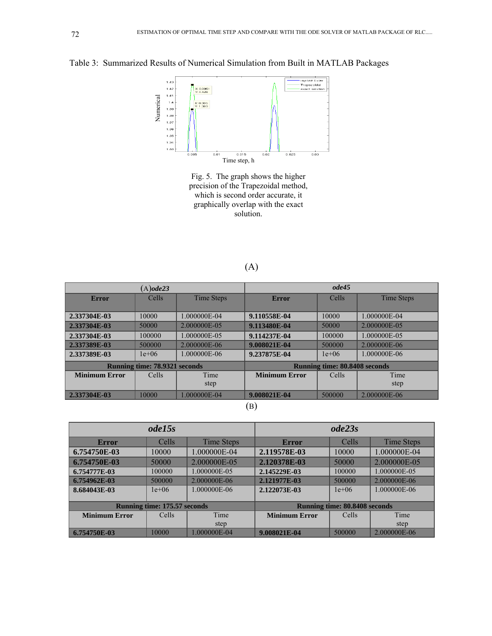Table 3: Summarized Results of Numerical Simulation from Built in MATLAB Packages



Fig. 5. The graph shows the higher precision of the Trapezoidal method, which is second order accurate, it graphically overlap with the exact solution.

(A)

| $(A)$ ode23                          |         |              | ode45                                |         |              |  |
|--------------------------------------|---------|--------------|--------------------------------------|---------|--------------|--|
| <b>Error</b>                         | Cells   | Time Steps   | <b>Error</b>                         | Cells   | Time Steps   |  |
|                                      |         |              |                                      |         |              |  |
| 2.337304E-03                         | 10000   | 1.000000E-04 | 9.110558E-04                         | 10000   | 1.000000E-04 |  |
| 2.337304E-03                         | 50000   | 2.000000E-05 | 9.113480E-04                         | 50000   | 2.000000E-05 |  |
| 2.337304E-03                         | 100000  | 1.000000E-05 | 9.114237E-04                         | 100000  | 1.000000E-05 |  |
| 2.337389E-03                         | 500000  | 2.000000E-06 | 9.008021E-04                         | 500000  | 2.000000E-06 |  |
| 2.337389E-03                         | $1e+06$ | 1.000000E-06 | 9.237875E-04                         | $1e+06$ | 1.000000E-06 |  |
| <b>Running time: 78.9321 seconds</b> |         |              | <b>Running time: 80.8408 seconds</b> |         |              |  |
| <b>Minimum Error</b>                 | Cells   | Time         | <b>Minimum Error</b>                 | Cells   | Time         |  |
|                                      |         | step         |                                      |         | step         |  |
| 2.337304E-03                         | 10000   | 1.000000E-04 | 9.008021E-04                         | 500000  | 2.000000E-06 |  |
| $\left( -\right)$                    |         |              |                                      |         |              |  |

(B)

| ode15s                              |         |              | ode23s                               |         |              |
|-------------------------------------|---------|--------------|--------------------------------------|---------|--------------|
| Error                               | Cells   | Time Steps   | Error                                | Cells   | Time Steps   |
| 6.754750E-03                        | 10000   | 1.000000E-04 | 2.119578E-03                         | 10000   | 1.000000E-04 |
| 6.754750E-03                        | 50000   | 2.000000E-05 | 2.120378E-03                         | 50000   | 2.000000E-05 |
| 6.754777E-03                        | 100000  | 1.000000E-05 | 2.145229E-03                         | 100000  | 1.000000E-05 |
| 6.754962E-03                        | 500000  | 2.000000E-06 | 2.121977E-03                         | 500000  | 2.000000E-06 |
| 8.684043E-03                        | $1e+06$ | 1.000000E-06 | 2.122073E-03                         | $1e+06$ | 1.000000E-06 |
|                                     |         |              |                                      |         |              |
| <b>Running time: 175.57 seconds</b> |         |              | <b>Running time: 80.8408 seconds</b> |         |              |
| <b>Minimum Error</b>                | Cells   | Time         | <b>Minimum Error</b>                 | Cells   | Time         |
|                                     |         | step         |                                      |         | step         |
| 6.754750E-03                        | 10000   | 1.000000E-04 | 9.008021E-04                         | 500000  | 2.000000E-06 |